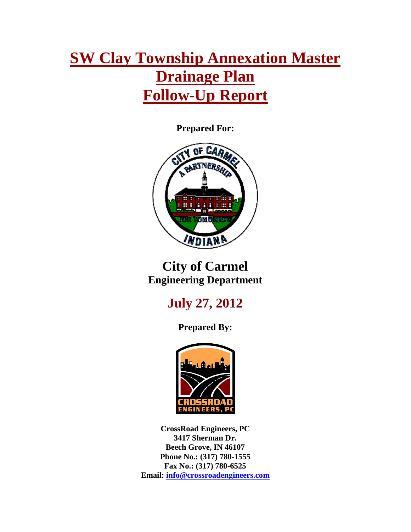# **SW Clay Township Annexation Master Drainage Plan Follow-Up Report**

**Prepared For:**



## **City of Carmel Engineering Department**

## **July 27, 2012**

**Prepared By:**



**CrossRoad Engineers, PC 3417 Sherman Dr. Beech Grove, IN 46107 Phone No.: (317) 780-1555 Fax No.: (317) 780-6525 Email: [info@crossroadengineers.com](mailto:info@crossroadengineers.com)**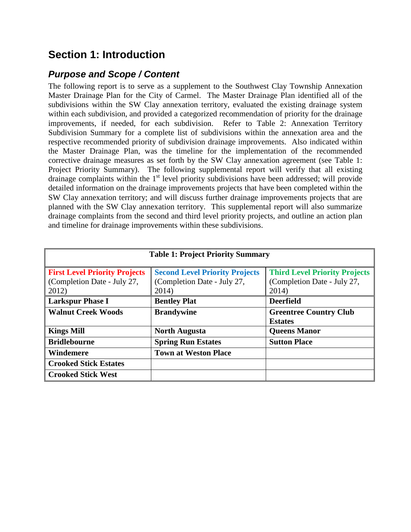## **Section 1: Introduction**

#### *Purpose and Scope / Content*

The following report is to serve as a supplement to the Southwest Clay Township Annexation Master Drainage Plan for the City of Carmel. The Master Drainage Plan identified all of the subdivisions within the SW Clay annexation territory, evaluated the existing drainage system within each subdivision, and provided a categorized recommendation of priority for the drainage improvements, if needed, for each subdivision. Refer to Table 2: Annexation Territory Subdivision Summary for a complete list of subdivisions within the annexation area and the respective recommended priority of subdivision drainage improvements. Also indicated within the Master Drainage Plan, was the timeline for the implementation of the recommended corrective drainage measures as set forth by the SW Clay annexation agreement (see Table 1: Project Priority Summary). The following supplemental report will verify that all existing drainage complaints within the 1<sup>st</sup> level priority subdivisions have been addressed; will provide detailed information on the drainage improvements projects that have been completed within the SW Clay annexation territory; and will discuss further drainage improvements projects that are planned with the SW Clay annexation territory. This supplemental report will also summarize drainage complaints from the second and third level priority projects, and outline an action plan and timeline for drainage improvements within these subdivisions.

| <b>Table 1: Project Priority Summary</b>                                     |                                                                               |                                                                              |  |
|------------------------------------------------------------------------------|-------------------------------------------------------------------------------|------------------------------------------------------------------------------|--|
| <b>First Level Priority Projects</b><br>(Completion Date - July 27,<br>2012) | <b>Second Level Priority Projects</b><br>(Completion Date - July 27,<br>2014) | <b>Third Level Priority Projects</b><br>(Completion Date - July 27,<br>2014) |  |
| <b>Larkspur Phase I</b>                                                      | <b>Bentley Plat</b>                                                           | <b>Deerfield</b>                                                             |  |
| <b>Walnut Creek Woods</b>                                                    | <b>Brandywine</b>                                                             | <b>Greentree Country Club</b><br><b>Estates</b>                              |  |
| <b>Kings Mill</b>                                                            | <b>North Augusta</b>                                                          | <b>Queens Manor</b>                                                          |  |
| <b>Bridlebourne</b>                                                          | <b>Spring Run Estates</b>                                                     | <b>Sutton Place</b>                                                          |  |
| Windemere                                                                    | <b>Town at Weston Place</b>                                                   |                                                                              |  |
| <b>Crooked Stick Estates</b>                                                 |                                                                               |                                                                              |  |
| <b>Crooked Stick West</b>                                                    |                                                                               |                                                                              |  |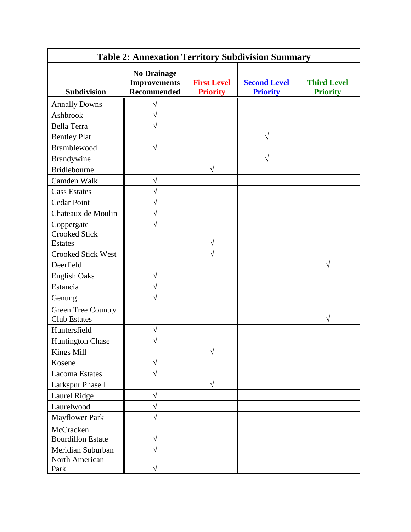| <b>Table 2: Annexation Territory Subdivision Summary</b> |                                                                 |                                       |                                        |                                       |
|----------------------------------------------------------|-----------------------------------------------------------------|---------------------------------------|----------------------------------------|---------------------------------------|
| <b>Subdivision</b>                                       | <b>No Drainage</b><br><b>Improvements</b><br><b>Recommended</b> | <b>First Level</b><br><b>Priority</b> | <b>Second Level</b><br><b>Priority</b> | <b>Third Level</b><br><b>Priority</b> |
| <b>Annally Downs</b>                                     |                                                                 |                                       |                                        |                                       |
| Ashbrook                                                 |                                                                 |                                       |                                        |                                       |
| Bella Terra                                              |                                                                 |                                       |                                        |                                       |
| <b>Bentley Plat</b>                                      |                                                                 |                                       | V                                      |                                       |
| <b>Bramblewood</b>                                       | $\sqrt{}$                                                       |                                       |                                        |                                       |
| Brandywine                                               |                                                                 |                                       | N                                      |                                       |
| Bridlebourne                                             |                                                                 | V                                     |                                        |                                       |
| Camden Walk                                              | V                                                               |                                       |                                        |                                       |
| <b>Cass Estates</b>                                      |                                                                 |                                       |                                        |                                       |
| <b>Cedar Point</b>                                       |                                                                 |                                       |                                        |                                       |
| Chateaux de Moulin                                       | N                                                               |                                       |                                        |                                       |
| Coppergate                                               |                                                                 |                                       |                                        |                                       |
| <b>Crooked Stick</b>                                     |                                                                 |                                       |                                        |                                       |
| <b>Estates</b>                                           |                                                                 |                                       |                                        |                                       |
| <b>Crooked Stick West</b>                                |                                                                 |                                       |                                        |                                       |
| Deerfield                                                |                                                                 |                                       |                                        | V                                     |
| <b>English Oaks</b>                                      | V                                                               |                                       |                                        |                                       |
| Estancia                                                 | N                                                               |                                       |                                        |                                       |
| Genung                                                   |                                                                 |                                       |                                        |                                       |
| <b>Green Tree Country</b><br><b>Club Estates</b>         |                                                                 |                                       |                                        |                                       |
| Huntersfield                                             | $\sqrt{}$                                                       |                                       |                                        |                                       |
| Huntington Chase                                         |                                                                 |                                       |                                        |                                       |
| Kings Mill                                               |                                                                 | $\sqrt{}$                             |                                        |                                       |
| Kosene                                                   | V                                                               |                                       |                                        |                                       |
| <b>Lacoma Estates</b>                                    | $\sqrt{}$                                                       |                                       |                                        |                                       |
| Larkspur Phase I                                         |                                                                 | V                                     |                                        |                                       |
| Laurel Ridge                                             | $\sqrt{}$                                                       |                                       |                                        |                                       |
| Laurelwood                                               | V                                                               |                                       |                                        |                                       |
| <b>Mayflower Park</b>                                    |                                                                 |                                       |                                        |                                       |
| McCracken<br><b>Bourdillon Estate</b>                    | V                                                               |                                       |                                        |                                       |
| Meridian Suburban                                        | V                                                               |                                       |                                        |                                       |
| North American<br>Park                                   | $\sqrt{}$                                                       |                                       |                                        |                                       |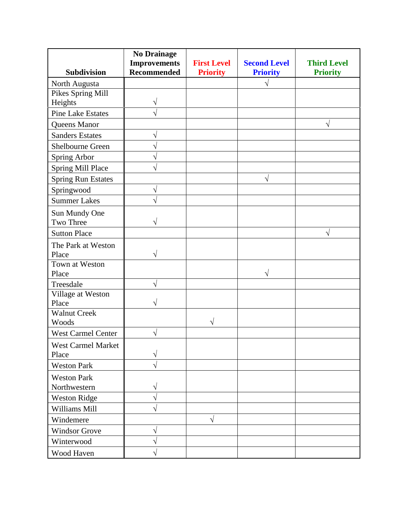|                            | <b>No Drainage</b><br><b>Improvements</b> | <b>First Level</b> | <b>Second Level</b> | <b>Third Level</b> |
|----------------------------|-------------------------------------------|--------------------|---------------------|--------------------|
| <b>Subdivision</b>         | <b>Recommended</b>                        | <b>Priority</b>    | <b>Priority</b>     | <b>Priority</b>    |
| North Augusta              |                                           |                    | $\sqrt{ }$          |                    |
| Pikes Spring Mill          |                                           |                    |                     |                    |
| Heights                    | V                                         |                    |                     |                    |
| <b>Pine Lake Estates</b>   |                                           |                    |                     |                    |
| Queens Manor               |                                           |                    |                     |                    |
| <b>Sanders Estates</b>     | V                                         |                    |                     |                    |
| Shelbourne Green           | J                                         |                    |                     |                    |
| Spring Arbor               | V                                         |                    |                     |                    |
| Spring Mill Place          | N                                         |                    |                     |                    |
| <b>Spring Run Estates</b>  |                                           |                    | V                   |                    |
| Springwood                 | V                                         |                    |                     |                    |
| <b>Summer Lakes</b>        | $\sqrt{}$                                 |                    |                     |                    |
| Sun Mundy One              |                                           |                    |                     |                    |
| Two Three                  | V                                         |                    |                     |                    |
| <b>Sutton Place</b>        |                                           |                    |                     | $\sqrt{}$          |
| The Park at Weston         |                                           |                    |                     |                    |
| Place                      | V                                         |                    |                     |                    |
| Town at Weston             |                                           |                    |                     |                    |
| Place                      |                                           |                    | V                   |                    |
| Treesdale                  | V                                         |                    |                     |                    |
| Village at Weston<br>Place | N                                         |                    |                     |                    |
| <b>Walnut Creek</b>        |                                           |                    |                     |                    |
| Woods                      |                                           | V                  |                     |                    |
| <b>West Carmel Center</b>  | V                                         |                    |                     |                    |
| West Carmel Market         |                                           |                    |                     |                    |
| Place                      | V                                         |                    |                     |                    |
| <b>Weston Park</b>         | N                                         |                    |                     |                    |
| <b>Weston Park</b>         |                                           |                    |                     |                    |
| Northwestern               | V                                         |                    |                     |                    |
| <b>Weston Ridge</b>        | V                                         |                    |                     |                    |
| Williams Mill              | V                                         |                    |                     |                    |
| Windemere                  |                                           | $\sqrt{ }$         |                     |                    |
| <b>Windsor Grove</b>       | V                                         |                    |                     |                    |
| Winterwood                 | V                                         |                    |                     |                    |
| Wood Haven                 | V                                         |                    |                     |                    |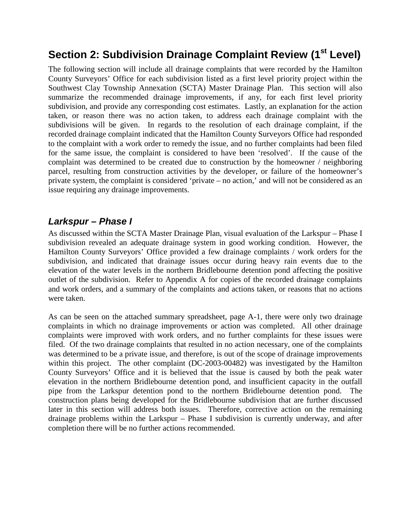## **Section 2: Subdivision Drainage Complaint Review (1st Level)**

The following section will include all drainage complaints that were recorded by the Hamilton County Surveyors' Office for each subdivision listed as a first level priority project within the Southwest Clay Township Annexation (SCTA) Master Drainage Plan. This section will also summarize the recommended drainage improvements, if any, for each first level priority subdivision, and provide any corresponding cost estimates. Lastly, an explanation for the action taken, or reason there was no action taken, to address each drainage complaint with the subdivisions will be given. In regards to the resolution of each drainage complaint, if the recorded drainage complaint indicated that the Hamilton County Surveyors Office had responded to the complaint with a work order to remedy the issue, and no further complaints had been filed for the same issue, the complaint is considered to have been 'resolved'. If the cause of the complaint was determined to be created due to construction by the homeowner / neighboring parcel, resulting from construction activities by the developer, or failure of the homeowner's private system, the complaint is considered 'private – no action,' and will not be considered as an issue requiring any drainage improvements.

#### *Larkspur – Phase I*

As discussed within the SCTA Master Drainage Plan, visual evaluation of the Larkspur – Phase I subdivision revealed an adequate drainage system in good working condition. However, the Hamilton County Surveyors' Office provided a few drainage complaints / work orders for the subdivision, and indicated that drainage issues occur during heavy rain events due to the elevation of the water levels in the northern Bridlebourne detention pond affecting the positive outlet of the subdivision. Refer to Appendix A for copies of the recorded drainage complaints and work orders, and a summary of the complaints and actions taken, or reasons that no actions were taken.

As can be seen on the attached summary spreadsheet, page A-1, there were only two drainage complaints in which no drainage improvements or action was completed. All other drainage complaints were improved with work orders, and no further complaints for these issues were filed. Of the two drainage complaints that resulted in no action necessary, one of the complaints was determined to be a private issue, and therefore, is out of the scope of drainage improvements within this project. The other complaint (DC-2003-00482) was investigated by the Hamilton County Surveyors' Office and it is believed that the issue is caused by both the peak water elevation in the northern Bridlebourne detention pond, and insufficient capacity in the outfall pipe from the Larkspur detention pond to the northern Bridlebourne detention pond. The construction plans being developed for the Bridlebourne subdivision that are further discussed later in this section will address both issues. Therefore, corrective action on the remaining drainage problems within the Larkspur – Phase I subdivision is currently underway, and after completion there will be no further actions recommended.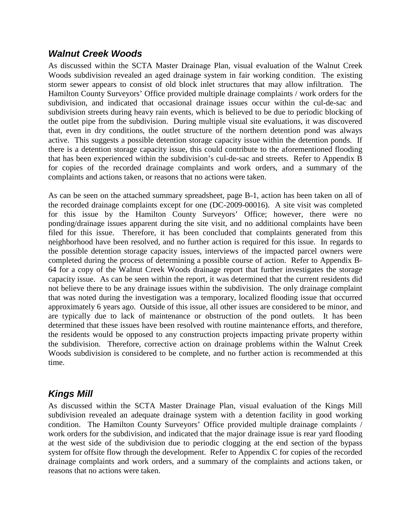#### *Walnut Creek Woods*

As discussed within the SCTA Master Drainage Plan, visual evaluation of the Walnut Creek Woods subdivision revealed an aged drainage system in fair working condition. The existing storm sewer appears to consist of old block inlet structures that may allow infiltration. The Hamilton County Surveyors' Office provided multiple drainage complaints / work orders for the subdivision, and indicated that occasional drainage issues occur within the cul-de-sac and subdivision streets during heavy rain events, which is believed to be due to periodic blocking of the outlet pipe from the subdivision. During multiple visual site evaluations, it was discovered that, even in dry conditions, the outlet structure of the northern detention pond was always active. This suggests a possible detention storage capacity issue within the detention ponds. If there is a detention storage capacity issue, this could contribute to the aforementioned flooding that has been experienced within the subdivision's cul-de-sac and streets. Refer to Appendix B for copies of the recorded drainage complaints and work orders, and a summary of the complaints and actions taken, or reasons that no actions were taken.

As can be seen on the attached summary spreadsheet, page B-1, action has been taken on all of the recorded drainage complaints except for one (DC-2009-00016). A site visit was completed for this issue by the Hamilton County Surveyors' Office; however, there were no ponding/drainage issues apparent during the site visit, and no additional complaints have been filed for this issue. Therefore, it has been concluded that complaints generated from this neighborhood have been resolved, and no further action is required for this issue. In regards to the possible detention storage capacity issues, interviews of the impacted parcel owners were completed during the process of determining a possible course of action. Refer to Appendix B-64 for a copy of the Walnut Creek Woods drainage report that further investigates the storage capacity issue. As can be seen within the report, it was determined that the current residents did not believe there to be any drainage issues within the subdivision. The only drainage complaint that was noted during the investigation was a temporary, localized flooding issue that occurred approximately 6 years ago. Outside of this issue, all other issues are considered to be minor, and are typically due to lack of maintenance or obstruction of the pond outlets. It has been determined that these issues have been resolved with routine maintenance efforts, and therefore, the residents would be opposed to any construction projects impacting private property within the subdivision. Therefore, corrective action on drainage problems within the Walnut Creek Woods subdivision is considered to be complete, and no further action is recommended at this time.

#### *Kings Mill*

As discussed within the SCTA Master Drainage Plan, visual evaluation of the Kings Mill subdivision revealed an adequate drainage system with a detention facility in good working condition. The Hamilton County Surveyors' Office provided multiple drainage complaints / work orders for the subdivision, and indicated that the major drainage issue is rear yard flooding at the west side of the subdivision due to periodic clogging at the end section of the bypass system for offsite flow through the development. Refer to Appendix C for copies of the recorded drainage complaints and work orders, and a summary of the complaints and actions taken, or reasons that no actions were taken.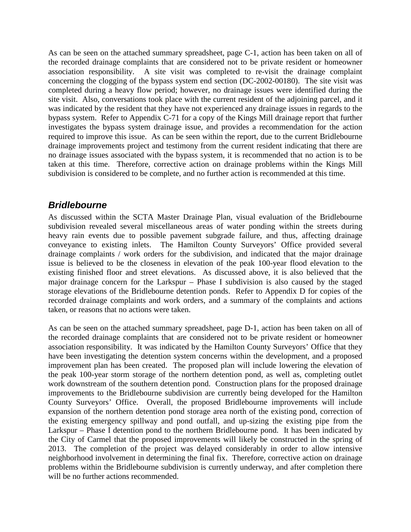As can be seen on the attached summary spreadsheet, page C-1, action has been taken on all of the recorded drainage complaints that are considered not to be private resident or homeowner association responsibility. A site visit was completed to re-visit the drainage complaint concerning the clogging of the bypass system end section (DC-2002-00180). The site visit was completed during a heavy flow period; however, no drainage issues were identified during the site visit. Also, conversations took place with the current resident of the adjoining parcel, and it was indicated by the resident that they have not experienced any drainage issues in regards to the bypass system. Refer to Appendix C-71 for a copy of the Kings Mill drainage report that further investigates the bypass system drainage issue, and provides a recommendation for the action required to improve this issue. As can be seen within the report, due to the current Bridlebourne drainage improvements project and testimony from the current resident indicating that there are no drainage issues associated with the bypass system, it is recommended that no action is to be taken at this time. Therefore, corrective action on drainage problems within the Kings Mill subdivision is considered to be complete, and no further action is recommended at this time.

#### *Bridlebourne*

As discussed within the SCTA Master Drainage Plan, visual evaluation of the Bridlebourne subdivision revealed several miscellaneous areas of water ponding within the streets during heavy rain events due to possible pavement subgrade failure, and thus, affecting drainage conveyance to existing inlets. The Hamilton County Surveyors' Office provided several drainage complaints / work orders for the subdivision, and indicated that the major drainage issue is believed to be the closeness in elevation of the peak 100-year flood elevation to the existing finished floor and street elevations. As discussed above, it is also believed that the major drainage concern for the Larkspur – Phase I subdivision is also caused by the staged storage elevations of the Bridlebourne detention ponds. Refer to Appendix D for copies of the recorded drainage complaints and work orders, and a summary of the complaints and actions taken, or reasons that no actions were taken.

As can be seen on the attached summary spreadsheet, page D-1, action has been taken on all of the recorded drainage complaints that are considered not to be private resident or homeowner association responsibility. It was indicated by the Hamilton County Surveyors' Office that they have been investigating the detention system concerns within the development, and a proposed improvement plan has been created. The proposed plan will include lowering the elevation of the peak 100-year storm storage of the northern detention pond, as well as, completing outlet work downstream of the southern detention pond. Construction plans for the proposed drainage improvements to the Bridlebourne subdivision are currently being developed for the Hamilton County Surveyors' Office. Overall, the proposed Bridlebourne improvements will include expansion of the northern detention pond storage area north of the existing pond, correction of the existing emergency spillway and pond outfall, and up-sizing the existing pipe from the Larkspur – Phase I detention pond to the northern Bridlebourne pond. It has been indicated by the City of Carmel that the proposed improvements will likely be constructed in the spring of 2013. The completion of the project was delayed considerably in order to allow intensive neighborhood involvement in determining the final fix. Therefore, corrective action on drainage problems within the Bridlebourne subdivision is currently underway, and after completion there will be no further actions recommended.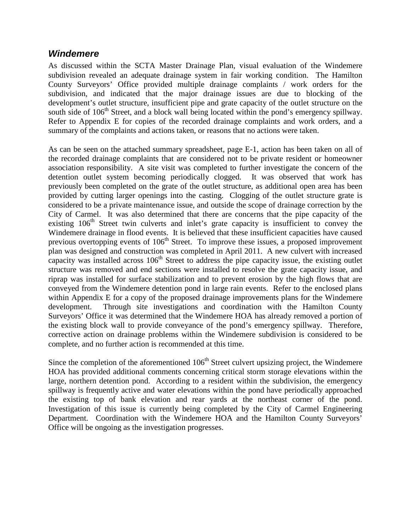#### *Windemere*

As discussed within the SCTA Master Drainage Plan, visual evaluation of the Windemere subdivision revealed an adequate drainage system in fair working condition. The Hamilton County Surveyors' Office provided multiple drainage complaints / work orders for the subdivision, and indicated that the major drainage issues are due to blocking of the development's outlet structure, insufficient pipe and grate capacity of the outlet structure on the south side of 106<sup>th</sup> Street, and a block wall being located within the pond's emergency spillway. Refer to Appendix E for copies of the recorded drainage complaints and work orders, and a summary of the complaints and actions taken, or reasons that no actions were taken.

As can be seen on the attached summary spreadsheet, page E-1, action has been taken on all of the recorded drainage complaints that are considered not to be private resident or homeowner association responsibility. A site visit was completed to further investigate the concern of the detention outlet system becoming periodically clogged. It was observed that work has previously been completed on the grate of the outlet structure, as additional open area has been provided by cutting larger openings into the casting. Clogging of the outlet structure grate is considered to be a private maintenance issue, and outside the scope of drainage correction by the City of Carmel. It was also determined that there are concerns that the pipe capacity of the existing 106<sup>th</sup> Street twin culverts and inlet's grate capacity is insufficient to convey the Windemere drainage in flood events. It is believed that these insufficient capacities have caused previous overtopping events of 106<sup>th</sup> Street. To improve these issues, a proposed improvement plan was designed and construction was completed in April 2011. A new culvert with increased capacity was installed across  $106<sup>th</sup>$  Street to address the pipe capacity issue, the existing outlet structure was removed and end sections were installed to resolve the grate capacity issue, and riprap was installed for surface stabilization and to prevent erosion by the high flows that are conveyed from the Windemere detention pond in large rain events. Refer to the enclosed plans within Appendix E for a copy of the proposed drainage improvements plans for the Windemere development. Through site investigations and coordination with the Hamilton County Surveyors' Office it was determined that the Windemere HOA has already removed a portion of the existing block wall to provide conveyance of the pond's emergency spillway. Therefore, corrective action on drainage problems within the Windemere subdivision is considered to be complete, and no further action is recommended at this time.

Since the completion of the aforementioned  $106<sup>th</sup>$  Street culvert upsizing project, the Windemere HOA has provided additional comments concerning critical storm storage elevations within the large, northern detention pond. According to a resident within the subdivision, the emergency spillway is frequently active and water elevations within the pond have periodically approached the existing top of bank elevation and rear yards at the northeast corner of the pond. Investigation of this issue is currently being completed by the City of Carmel Engineering Department. Coordination with the Windemere HOA and the Hamilton County Surveyors' Office will be ongoing as the investigation progresses.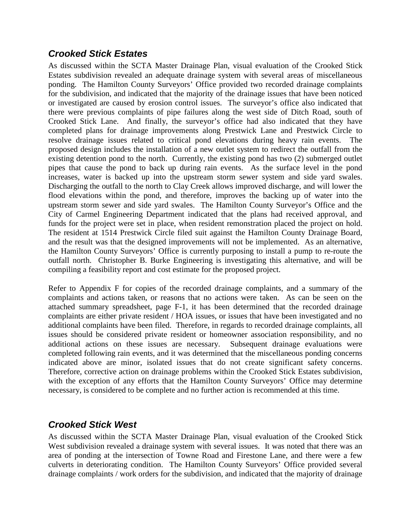#### *Crooked Stick Estates*

As discussed within the SCTA Master Drainage Plan, visual evaluation of the Crooked Stick Estates subdivision revealed an adequate drainage system with several areas of miscellaneous ponding. The Hamilton County Surveyors' Office provided two recorded drainage complaints for the subdivision, and indicated that the majority of the drainage issues that have been noticed or investigated are caused by erosion control issues. The surveyor's office also indicated that there were previous complaints of pipe failures along the west side of Ditch Road, south of Crooked Stick Lane. And finally, the surveyor's office had also indicated that they have completed plans for drainage improvements along Prestwick Lane and Prestwick Circle to resolve drainage issues related to critical pond elevations during heavy rain events. The proposed design includes the installation of a new outlet system to redirect the outfall from the existing detention pond to the north. Currently, the existing pond has two (2) submerged outlet pipes that cause the pond to back up during rain events. As the surface level in the pond increases, water is backed up into the upstream storm sewer system and side yard swales. Discharging the outfall to the north to Clay Creek allows improved discharge, and will lower the flood elevations within the pond, and therefore, improves the backing up of water into the upstream storm sewer and side yard swales. The Hamilton County Surveyor's Office and the City of Carmel Engineering Department indicated that the plans had received approval, and funds for the project were set in place, when resident remonstration placed the project on hold. The resident at 1514 Prestwick Circle filed suit against the Hamilton County Drainage Board, and the result was that the designed improvements will not be implemented. As an alternative, the Hamilton County Surveyors' Office is currently purposing to install a pump to re-route the outfall north. Christopher B. Burke Engineering is investigating this alternative, and will be compiling a feasibility report and cost estimate for the proposed project.

Refer to Appendix F for copies of the recorded drainage complaints, and a summary of the complaints and actions taken, or reasons that no actions were taken. As can be seen on the attached summary spreadsheet, page F-1, it has been determined that the recorded drainage complaints are either private resident / HOA issues, or issues that have been investigated and no additional complaints have been filed. Therefore, in regards to recorded drainage complaints, all issues should be considered private resident or homeowner association responsibility, and no additional actions on these issues are necessary. Subsequent drainage evaluations were additional actions on these issues are necessary. completed following rain events, and it was determined that the miscellaneous ponding concerns indicated above are minor, isolated issues that do not create significant safety concerns. Therefore, corrective action on drainage problems within the Crooked Stick Estates subdivision, with the exception of any efforts that the Hamilton County Surveyors' Office may determine necessary, is considered to be complete and no further action is recommended at this time.

#### *Crooked Stick West*

As discussed within the SCTA Master Drainage Plan, visual evaluation of the Crooked Stick West subdivision revealed a drainage system with several issues. It was noted that there was an area of ponding at the intersection of Towne Road and Firestone Lane, and there were a few culverts in deteriorating condition. The Hamilton County Surveyors' Office provided several drainage complaints / work orders for the subdivision, and indicated that the majority of drainage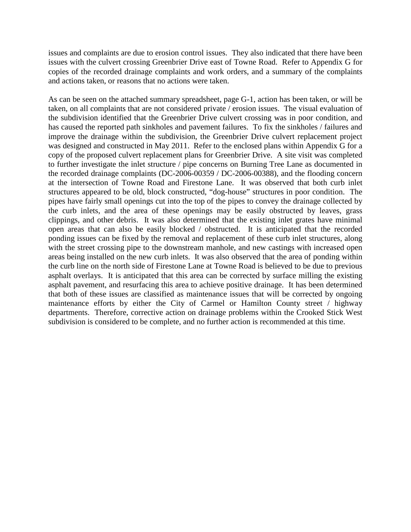issues and complaints are due to erosion control issues. They also indicated that there have been issues with the culvert crossing Greenbrier Drive east of Towne Road. Refer to Appendix G for copies of the recorded drainage complaints and work orders, and a summary of the complaints and actions taken, or reasons that no actions were taken.

As can be seen on the attached summary spreadsheet, page G-1, action has been taken, or will be taken, on all complaints that are not considered private / erosion issues. The visual evaluation of the subdivision identified that the Greenbrier Drive culvert crossing was in poor condition, and has caused the reported path sinkholes and pavement failures. To fix the sinkholes / failures and improve the drainage within the subdivision, the Greenbrier Drive culvert replacement project was designed and constructed in May 2011. Refer to the enclosed plans within Appendix G for a copy of the proposed culvert replacement plans for Greenbrier Drive. A site visit was completed to further investigate the inlet structure / pipe concerns on Burning Tree Lane as documented in the recorded drainage complaints (DC-2006-00359 / DC-2006-00388), and the flooding concern at the intersection of Towne Road and Firestone Lane. It was observed that both curb inlet structures appeared to be old, block constructed, "dog-house" structures in poor condition. The pipes have fairly small openings cut into the top of the pipes to convey the drainage collected by the curb inlets, and the area of these openings may be easily obstructed by leaves, grass clippings, and other debris. It was also determined that the existing inlet grates have minimal open areas that can also be easily blocked / obstructed. It is anticipated that the recorded ponding issues can be fixed by the removal and replacement of these curb inlet structures, along with the street crossing pipe to the downstream manhole, and new castings with increased open areas being installed on the new curb inlets. It was also observed that the area of ponding within the curb line on the north side of Firestone Lane at Towne Road is believed to be due to previous asphalt overlays. It is anticipated that this area can be corrected by surface milling the existing asphalt pavement, and resurfacing this area to achieve positive drainage. It has been determined that both of these issues are classified as maintenance issues that will be corrected by ongoing maintenance efforts by either the City of Carmel or Hamilton County street / highway departments. Therefore, corrective action on drainage problems within the Crooked Stick West subdivision is considered to be complete, and no further action is recommended at this time.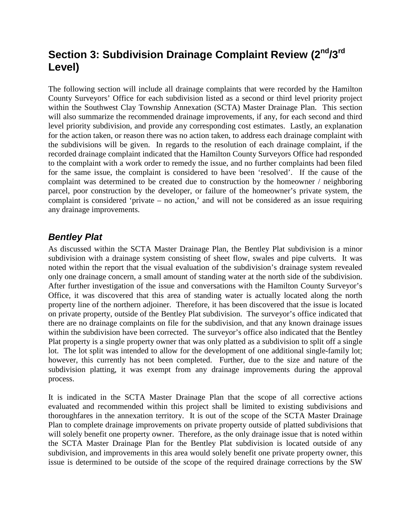## **Section 3: Subdivision Drainage Complaint Review (2nd/3rd Level)**

The following section will include all drainage complaints that were recorded by the Hamilton County Surveyors' Office for each subdivision listed as a second or third level priority project within the Southwest Clay Township Annexation (SCTA) Master Drainage Plan. This section will also summarize the recommended drainage improvements, if any, for each second and third level priority subdivision, and provide any corresponding cost estimates. Lastly, an explanation for the action taken, or reason there was no action taken, to address each drainage complaint with the subdivisions will be given. In regards to the resolution of each drainage complaint, if the recorded drainage complaint indicated that the Hamilton County Surveyors Office had responded to the complaint with a work order to remedy the issue, and no further complaints had been filed for the same issue, the complaint is considered to have been 'resolved'. If the cause of the complaint was determined to be created due to construction by the homeowner / neighboring parcel, poor construction by the developer, or failure of the homeowner's private system, the complaint is considered 'private – no action,' and will not be considered as an issue requiring any drainage improvements.

#### *Bentley Plat*

As discussed within the SCTA Master Drainage Plan, the Bentley Plat subdivision is a minor subdivision with a drainage system consisting of sheet flow, swales and pipe culverts. It was noted within the report that the visual evaluation of the subdivision's drainage system revealed only one drainage concern, a small amount of standing water at the north side of the subdivision. After further investigation of the issue and conversations with the Hamilton County Surveyor's Office, it was discovered that this area of standing water is actually located along the north property line of the northern adjoiner. Therefore, it has been discovered that the issue is located on private property, outside of the Bentley Plat subdivision. The surveyor's office indicated that there are no drainage complaints on file for the subdivision, and that any known drainage issues within the subdivision have been corrected. The surveyor's office also indicated that the Bentley Plat property is a single property owner that was only platted as a subdivision to split off a single lot. The lot split was intended to allow for the development of one additional single-family lot; however, this currently has not been completed. Further, due to the size and nature of the subdivision platting, it was exempt from any drainage improvements during the approval process.

It is indicated in the SCTA Master Drainage Plan that the scope of all corrective actions evaluated and recommended within this project shall be limited to existing subdivisions and thoroughfares in the annexation territory. It is out of the scope of the SCTA Master Drainage Plan to complete drainage improvements on private property outside of platted subdivisions that will solely benefit one property owner. Therefore, as the only drainage issue that is noted within the SCTA Master Drainage Plan for the Bentley Plat subdivision is located outside of any subdivision, and improvements in this area would solely benefit one private property owner, this issue is determined to be outside of the scope of the required drainage corrections by the SW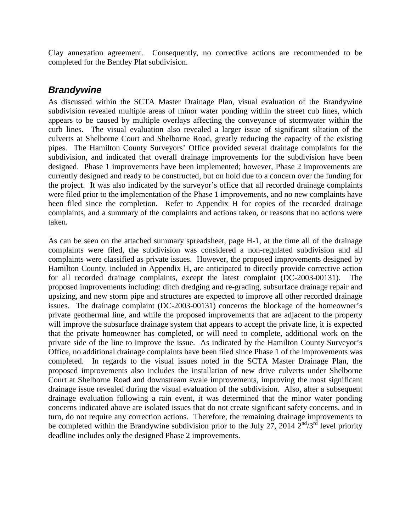Clay annexation agreement. Consequently, no corrective actions are recommended to be completed for the Bentley Plat subdivision.

#### *Brandywine*

As discussed within the SCTA Master Drainage Plan, visual evaluation of the Brandywine subdivision revealed multiple areas of minor water ponding within the street cub lines, which appears to be caused by multiple overlays affecting the conveyance of stormwater within the curb lines. The visual evaluation also revealed a larger issue of significant siltation of the culverts at Shelborne Court and Shelborne Road, greatly reducing the capacity of the existing pipes. The Hamilton County Surveyors' Office provided several drainage complaints for the subdivision, and indicated that overall drainage improvements for the subdivision have been designed. Phase 1 improvements have been implemented; however, Phase 2 improvements are currently designed and ready to be constructed, but on hold due to a concern over the funding for the project. It was also indicated by the surveyor's office that all recorded drainage complaints were filed prior to the implementation of the Phase 1 improvements, and no new complaints have been filed since the completion. Refer to Appendix H for copies of the recorded drainage complaints, and a summary of the complaints and actions taken, or reasons that no actions were taken.

As can be seen on the attached summary spreadsheet, page H-1, at the time all of the drainage complaints were filed, the subdivision was considered a non-regulated subdivision and all complaints were classified as private issues. However, the proposed improvements designed by Hamilton County, included in Appendix H, are anticipated to directly provide corrective action for all recorded drainage complaints, except the latest complaint (DC-2003-00131). The proposed improvements including: ditch dredging and re-grading, subsurface drainage repair and upsizing, and new storm pipe and structures are expected to improve all other recorded drainage issues. The drainage complaint (DC-2003-00131) concerns the blockage of the homeowner's private geothermal line, and while the proposed improvements that are adjacent to the property will improve the subsurface drainage system that appears to accept the private line, it is expected that the private homeowner has completed, or will need to complete, additional work on the private side of the line to improve the issue. As indicated by the Hamilton County Surveyor's Office, no additional drainage complaints have been filed since Phase 1 of the improvements was completed. In regards to the visual issues noted in the SCTA Master Drainage Plan, the proposed improvements also includes the installation of new drive culverts under Shelborne Court at Shelborne Road and downstream swale improvements, improving the most significant drainage issue revealed during the visual evaluation of the subdivision. Also, after a subsequent drainage evaluation following a rain event, it was determined that the minor water ponding concerns indicated above are isolated issues that do not create significant safety concerns, and in turn, do not require any correction actions. Therefore, the remaining drainage improvements to be completed within the Brandywine subdivision prior to the July 27, 2014  $2^{nd}/3^{rd}$  level priority deadline includes only the designed Phase 2 improvements.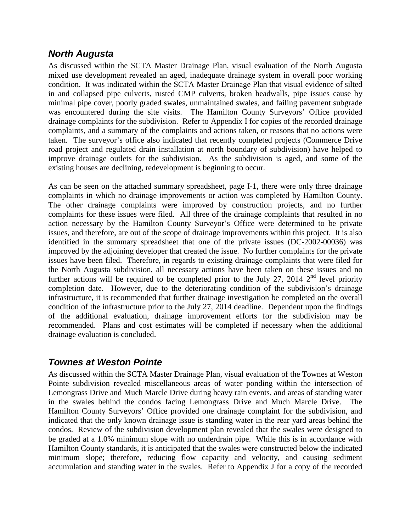#### *North Augusta*

As discussed within the SCTA Master Drainage Plan, visual evaluation of the North Augusta mixed use development revealed an aged, inadequate drainage system in overall poor working condition. It was indicated within the SCTA Master Drainage Plan that visual evidence of silted in and collapsed pipe culverts, rusted CMP culverts, broken headwalls, pipe issues cause by minimal pipe cover, poorly graded swales, unmaintained swales, and failing pavement subgrade was encountered during the site visits. The Hamilton County Surveyors' Office provided drainage complaints for the subdivision. Refer to Appendix I for copies of the recorded drainage complaints, and a summary of the complaints and actions taken, or reasons that no actions were taken. The surveyor's office also indicated that recently completed projects (Commerce Drive road project and regulated drain installation at north boundary of subdivision) have helped to improve drainage outlets for the subdivision. As the subdivision is aged, and some of the existing houses are declining, redevelopment is beginning to occur.

As can be seen on the attached summary spreadsheet, page I-1, there were only three drainage complaints in which no drainage improvements or action was completed by Hamilton County. The other drainage complaints were improved by construction projects, and no further complaints for these issues were filed. All three of the drainage complaints that resulted in no action necessary by the Hamilton County Surveyor's Office were determined to be private issues, and therefore, are out of the scope of drainage improvements within this project. It is also identified in the summary spreadsheet that one of the private issues (DC-2002-00036) was improved by the adjoining developer that created the issue. No further complaints for the private issues have been filed. Therefore, in regards to existing drainage complaints that were filed for the North Augusta subdivision, all necessary actions have been taken on these issues and no further actions will be required to be completed prior to the July 27, 2014  $2<sup>nd</sup>$  level priority completion date. However, due to the deteriorating condition of the subdivision's drainage infrastructure, it is recommended that further drainage investigation be completed on the overall condition of the infrastructure prior to the July 27, 2014 deadline. Dependent upon the findings of the additional evaluation, drainage improvement efforts for the subdivision may be recommended. Plans and cost estimates will be completed if necessary when the additional drainage evaluation is concluded.

#### *Townes at Weston Pointe*

As discussed within the SCTA Master Drainage Plan, visual evaluation of the Townes at Weston Pointe subdivision revealed miscellaneous areas of water ponding within the intersection of Lemongrass Drive and Much Marcle Drive during heavy rain events, and areas of standing water in the swales behind the condos facing Lemongrass Drive and Much Marcle Drive. The Hamilton County Surveyors' Office provided one drainage complaint for the subdivision, and indicated that the only known drainage issue is standing water in the rear yard areas behind the condos. Review of the subdivision development plan revealed that the swales were designed to be graded at a 1.0% minimum slope with no underdrain pipe. While this is in accordance with Hamilton County standards, it is anticipated that the swales were constructed below the indicated minimum slope; therefore, reducing flow capacity and velocity, and causing sediment accumulation and standing water in the swales. Refer to Appendix J for a copy of the recorded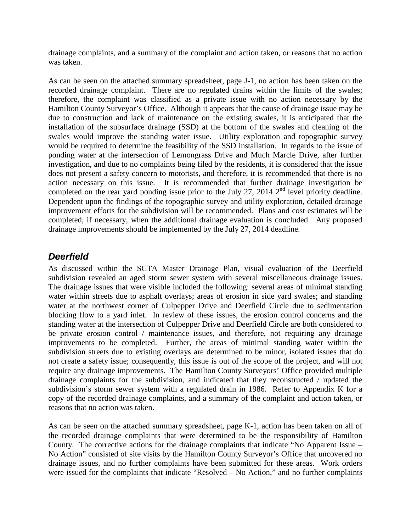drainage complaints, and a summary of the complaint and action taken, or reasons that no action was taken.

As can be seen on the attached summary spreadsheet, page J-1, no action has been taken on the recorded drainage complaint. There are no regulated drains within the limits of the swales; therefore, the complaint was classified as a private issue with no action necessary by the Hamilton County Surveyor's Office. Although it appears that the cause of drainage issue may be due to construction and lack of maintenance on the existing swales, it is anticipated that the installation of the subsurface drainage (SSD) at the bottom of the swales and cleaning of the swales would improve the standing water issue. Utility exploration and topographic survey would be required to determine the feasibility of the SSD installation. In regards to the issue of ponding water at the intersection of Lemongrass Drive and Much Marcle Drive, after further investigation, and due to no complaints being filed by the residents, it is considered that the issue does not present a safety concern to motorists, and therefore, it is recommended that there is no action necessary on this issue. It is recommended that further drainage investigation be completed on the rear yard ponding issue prior to the July 27, 2014  $2<sup>nd</sup>$  level priority deadline. Dependent upon the findings of the topographic survey and utility exploration, detailed drainage improvement efforts for the subdivision will be recommended. Plans and cost estimates will be completed, if necessary, when the additional drainage evaluation is concluded. Any proposed drainage improvements should be implemented by the July 27, 2014 deadline.

#### *Deerfield*

As discussed within the SCTA Master Drainage Plan, visual evaluation of the Deerfield subdivision revealed an aged storm sewer system with several miscellaneous drainage issues. The drainage issues that were visible included the following: several areas of minimal standing water within streets due to asphalt overlays; areas of erosion in side yard swales; and standing water at the northwest corner of Culpepper Drive and Deerfield Circle due to sedimentation blocking flow to a yard inlet. In review of these issues, the erosion control concerns and the standing water at the intersection of Culpepper Drive and Deerfield Circle are both considered to be private erosion control / maintenance issues, and therefore, not requiring any drainage improvements to be completed. Further, the areas of minimal standing water within the subdivision streets due to existing overlays are determined to be minor, isolated issues that do not create a safety issue; consequently, this issue is out of the scope of the project, and will not require any drainage improvements. The Hamilton County Surveyors' Office provided multiple drainage complaints for the subdivision, and indicated that they reconstructed / updated the subdivision's storm sewer system with a regulated drain in 1986. Refer to Appendix K for a copy of the recorded drainage complaints, and a summary of the complaint and action taken, or reasons that no action was taken.

As can be seen on the attached summary spreadsheet, page K-1, action has been taken on all of the recorded drainage complaints that were determined to be the responsibility of Hamilton County. The corrective actions for the drainage complaints that indicate "No Apparent Issue – No Action" consisted of site visits by the Hamilton County Surveyor's Office that uncovered no drainage issues, and no further complaints have been submitted for these areas. Work orders were issued for the complaints that indicate "Resolved – No Action," and no further complaints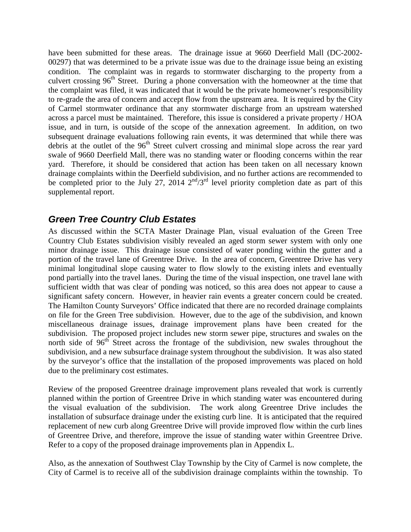have been submitted for these areas. The drainage issue at 9660 Deerfield Mall (DC-2002- 00297) that was determined to be a private issue was due to the drainage issue being an existing condition. The complaint was in regards to stormwater discharging to the property from a culvert crossing 96<sup>th</sup> Street. During a phone conversation with the homeowner at the time that the complaint was filed, it was indicated that it would be the private homeowner's responsibility to re-grade the area of concern and accept flow from the upstream area. It is required by the City of Carmel stormwater ordinance that any stormwater discharge from an upstream watershed across a parcel must be maintained. Therefore, this issue is considered a private property / HOA issue, and in turn, is outside of the scope of the annexation agreement. In addition, on two subsequent drainage evaluations following rain events, it was determined that while there was debris at the outlet of the 96<sup>th</sup> Street culvert crossing and minimal slope across the rear yard swale of 9660 Deerfield Mall, there was no standing water or flooding concerns within the rear yard. Therefore, it should be considered that action has been taken on all necessary known drainage complaints within the Deerfield subdivision, and no further actions are recommended to be completed prior to the July 27, 2014  $2<sup>nd</sup>/3<sup>rd</sup>$  level priority completion date as part of this supplemental report.

#### *Green Tree Country Club Estates*

As discussed within the SCTA Master Drainage Plan, visual evaluation of the Green Tree Country Club Estates subdivision visibly revealed an aged storm sewer system with only one minor drainage issue. This drainage issue consisted of water ponding within the gutter and a portion of the travel lane of Greentree Drive. In the area of concern, Greentree Drive has very minimal longitudinal slope causing water to flow slowly to the existing inlets and eventually pond partially into the travel lanes. During the time of the visual inspection, one travel lane with sufficient width that was clear of ponding was noticed, so this area does not appear to cause a significant safety concern. However, in heavier rain events a greater concern could be created. The Hamilton County Surveyors' Office indicated that there are no recorded drainage complaints on file for the Green Tree subdivision. However, due to the age of the subdivision, and known miscellaneous drainage issues, drainage improvement plans have been created for the subdivision. The proposed project includes new storm sewer pipe, structures and swales on the north side of 96<sup>th</sup> Street across the frontage of the subdivision, new swales throughout the subdivision, and a new subsurface drainage system throughout the subdivision. It was also stated by the surveyor's office that the installation of the proposed improvements was placed on hold due to the preliminary cost estimates.

Review of the proposed Greentree drainage improvement plans revealed that work is currently planned within the portion of Greentree Drive in which standing water was encountered during the visual evaluation of the subdivision. The work along Greentree Drive includes the installation of subsurface drainage under the existing curb line. It is anticipated that the required replacement of new curb along Greentree Drive will provide improved flow within the curb lines of Greentree Drive, and therefore, improve the issue of standing water within Greentree Drive. Refer to a copy of the proposed drainage improvements plan in Appendix L.

Also, as the annexation of Southwest Clay Township by the City of Carmel is now complete, the City of Carmel is to receive all of the subdivision drainage complaints within the township. To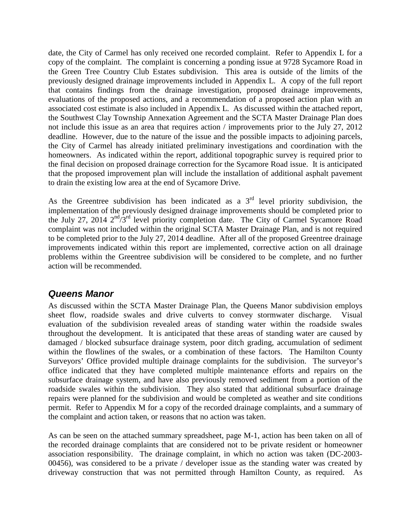date, the City of Carmel has only received one recorded complaint. Refer to Appendix L for a copy of the complaint. The complaint is concerning a ponding issue at 9728 Sycamore Road in the Green Tree Country Club Estates subdivision. This area is outside of the limits of the previously designed drainage improvements included in Appendix L. A copy of the full report that contains findings from the drainage investigation, proposed drainage improvements, evaluations of the proposed actions, and a recommendation of a proposed action plan with an associated cost estimate is also included in Appendix L. As discussed within the attached report, the Southwest Clay Township Annexation Agreement and the SCTA Master Drainage Plan does not include this issue as an area that requires action / improvements prior to the July 27, 2012 deadline. However, due to the nature of the issue and the possible impacts to adjoining parcels, the City of Carmel has already initiated preliminary investigations and coordination with the homeowners. As indicated within the report, additional topographic survey is required prior to the final decision on proposed drainage correction for the Sycamore Road issue. It is anticipated that the proposed improvement plan will include the installation of additional asphalt pavement to drain the existing low area at the end of Sycamore Drive.

As the Greentree subdivision has been indicated as a  $3<sup>rd</sup>$  level priority subdivision, the implementation of the previously designed drainage improvements should be completed prior to the July 27, 2014 2nd/3rd level priority completion date. The City of Carmel Sycamore Road complaint was not included within the original SCTA Master Drainage Plan, and is not required to be completed prior to the July 27, 2014 deadline. After all of the proposed Greentree drainage improvements indicated within this report are implemented, corrective action on all drainage problems within the Greentree subdivision will be considered to be complete, and no further action will be recommended.

#### *Queens Manor*

As discussed within the SCTA Master Drainage Plan, the Queens Manor subdivision employs sheet flow, roadside swales and drive culverts to convey stormwater discharge. Visual evaluation of the subdivision revealed areas of standing water within the roadside swales throughout the development. It is anticipated that these areas of standing water are caused by damaged / blocked subsurface drainage system, poor ditch grading, accumulation of sediment within the flowlines of the swales, or a combination of these factors. The Hamilton County Surveyors' Office provided multiple drainage complaints for the subdivision. The surveyor's office indicated that they have completed multiple maintenance efforts and repairs on the subsurface drainage system, and have also previously removed sediment from a portion of the roadside swales within the subdivision. They also stated that additional subsurface drainage repairs were planned for the subdivision and would be completed as weather and site conditions permit. Refer to Appendix M for a copy of the recorded drainage complaints, and a summary of the complaint and action taken, or reasons that no action was taken.

As can be seen on the attached summary spreadsheet, page M-1, action has been taken on all of the recorded drainage complaints that are considered not to be private resident or homeowner association responsibility. The drainage complaint, in which no action was taken (DC-2003- 00456), was considered to be a private / developer issue as the standing water was created by driveway construction that was not permitted through Hamilton County, as required. As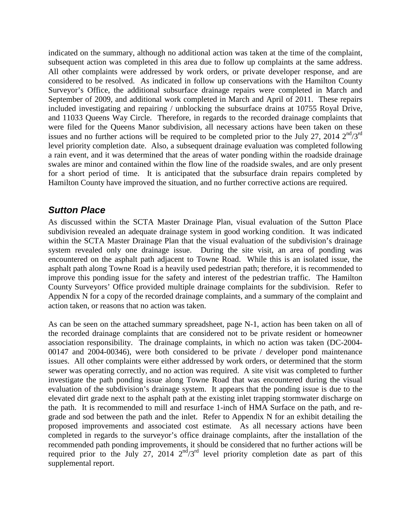indicated on the summary, although no additional action was taken at the time of the complaint, subsequent action was completed in this area due to follow up complaints at the same address. All other complaints were addressed by work orders, or private developer response, and are considered to be resolved. As indicated in follow up conservations with the Hamilton County Surveyor's Office, the additional subsurface drainage repairs were completed in March and September of 2009, and additional work completed in March and April of 2011. These repairs included investigating and repairing / unblocking the subsurface drains at 10755 Royal Drive, and 11033 Queens Way Circle. Therefore, in regards to the recorded drainage complaints that were filed for the Queens Manor subdivision, all necessary actions have been taken on these issues and no further actions will be required to be completed prior to the July 27, 2014  $2<sup>nd</sup>/3<sup>rd</sup>$ level priority completion date. Also, a subsequent drainage evaluation was completed following a rain event, and it was determined that the areas of water ponding within the roadside drainage swales are minor and contained within the flow line of the roadside swales, and are only present for a short period of time. It is anticipated that the subsurface drain repairs completed by Hamilton County have improved the situation, and no further corrective actions are required.

#### *Sutton Place*

As discussed within the SCTA Master Drainage Plan, visual evaluation of the Sutton Place subdivision revealed an adequate drainage system in good working condition. It was indicated within the SCTA Master Drainage Plan that the visual evaluation of the subdivision's drainage system revealed only one drainage issue. During the site visit, an area of ponding was encountered on the asphalt path adjacent to Towne Road. While this is an isolated issue, the asphalt path along Towne Road is a heavily used pedestrian path; therefore, it is recommended to improve this ponding issue for the safety and interest of the pedestrian traffic. The Hamilton County Surveyors' Office provided multiple drainage complaints for the subdivision. Refer to Appendix N for a copy of the recorded drainage complaints, and a summary of the complaint and action taken, or reasons that no action was taken.

As can be seen on the attached summary spreadsheet, page N-1, action has been taken on all of the recorded drainage complaints that are considered not to be private resident or homeowner association responsibility. The drainage complaints, in which no action was taken (DC-2004- 00147 and 2004-00346), were both considered to be private / developer pond maintenance issues. All other complaints were either addressed by work orders, or determined that the storm sewer was operating correctly, and no action was required. A site visit was completed to further investigate the path ponding issue along Towne Road that was encountered during the visual evaluation of the subdivision's drainage system. It appears that the ponding issue is due to the elevated dirt grade next to the asphalt path at the existing inlet trapping stormwater discharge on the path. It is recommended to mill and resurface 1-inch of HMA Surface on the path, and regrade and sod between the path and the inlet. Refer to Appendix N for an exhibit detailing the proposed improvements and associated cost estimate. As all necessary actions have been completed in regards to the surveyor's office drainage complaints, after the installation of the recommended path ponding improvements, it should be considered that no further actions will be required prior to the July 27, 2014  $2<sup>nd</sup>/3<sup>rd</sup>$  level priority completion date as part of this supplemental report.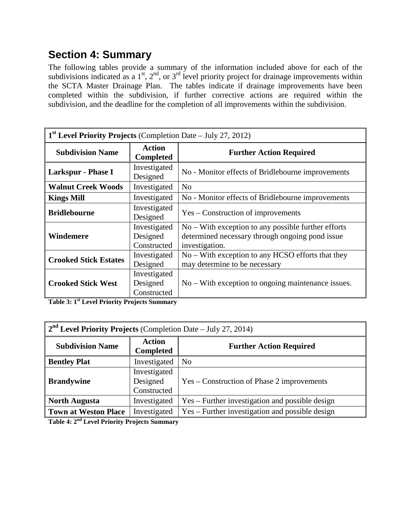## **Section 4: Summary**

The following tables provide a summary of the information included above for each of the subdivisions indicated as a  $1<sup>st</sup>$ ,  $2<sup>nd</sup>$ , or  $3<sup>rd</sup>$  level priority project for drainage improvements within the SCTA Master Drainage Plan. The tables indicate if drainage improvements have been completed within the subdivision, if further corrective actions are required within the subdivision, and the deadline for the completion of all improvements within the subdivision.

| $1st$ Level Priority Projects (Completion Date – July 27, 2012) |                                         |                                                                                                                            |
|-----------------------------------------------------------------|-----------------------------------------|----------------------------------------------------------------------------------------------------------------------------|
| <b>Subdivision Name</b>                                         | <b>Action</b><br><b>Completed</b>       | <b>Further Action Required</b>                                                                                             |
| Larkspur - Phase I                                              | Investigated<br>Designed                | No - Monitor effects of Bridlebourne improvements                                                                          |
| <b>Walnut Creek Woods</b>                                       | Investigated                            | No                                                                                                                         |
| <b>Kings Mill</b>                                               | Investigated                            | No - Monitor effects of Bridlebourne improvements                                                                          |
| <b>Bridlebourne</b>                                             | Investigated<br>Designed                | Yes – Construction of improvements                                                                                         |
| Windemere                                                       | Investigated<br>Designed<br>Constructed | $No - With exception to any possible further efforts$<br>determined necessary through ongoing pond issue<br>investigation. |
| <b>Crooked Stick Estates</b>                                    | Investigated<br>Designed                | No – With exception to any HCSO efforts that they<br>may determine to be necessary                                         |
| <b>Crooked Stick West</b>                                       | Investigated<br>Designed<br>Constructed | $No - With exception to ongoing maintenance issues.$                                                                       |

**Table 3: 1st Level Priority Projects Summary**

| $2nd$ Level Priority Projects (Completion Date – July 27, 2014) |                                         |                                                 |
|-----------------------------------------------------------------|-----------------------------------------|-------------------------------------------------|
| <b>Subdivision Name</b>                                         | Action<br><b>Completed</b>              | <b>Further Action Required</b>                  |
| <b>Bentley Plat</b>                                             | Investigated                            | N <sub>o</sub>                                  |
| <b>Brandywine</b>                                               | Investigated<br>Designed<br>Constructed | Yes – Construction of Phase 2 improvements      |
| <b>North Augusta</b>                                            | Investigated                            | Yes – Further investigation and possible design |
| <b>Town at Weston Place</b>                                     | Investigated                            | Yes – Further investigation and possible design |

**Table 4: 2nd Level Priority Projects Summary**